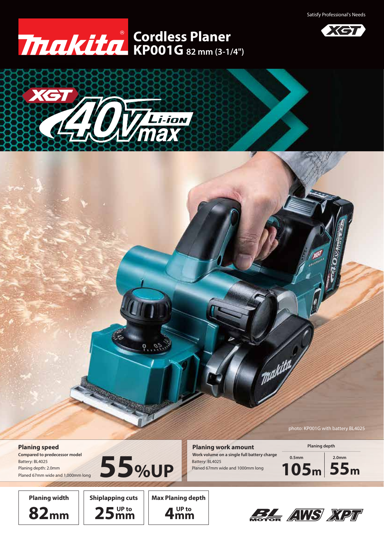

**KP001G 82 mm (3-1/4") Cordless Planer**





photo: KP001G with battery BL4025

Planed 67mm wide and 1,000mm long Planing depth: 2.0mm



Planed 67mm wide and 1000mm long Battery: BL4025 **2.0mm Compared to predecessor work volume on a single full battery charge** 



**Planing depth**



**Shiplapping cuts**





**THAN HALL**